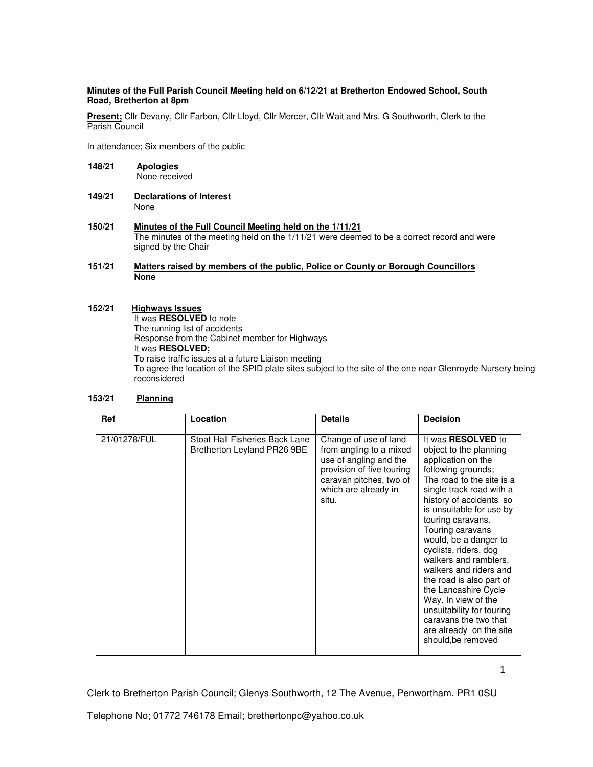### **Minutes of the Full Parish Council Meeting held on 6/12/21 at Bretherton Endowed School, South Road, Bretherton at 8pm**

**Present;** Cllr Devany, Cllr Farbon, Cllr Lloyd, Cllr Mercer, Cllr Wait and Mrs. G Southworth, Clerk to the Parish Council

In attendance; Six members of the public

- **148/21 Apologies**  None received
- **149/21 Declarations of Interest** None
- 150/21 **Minutes of the Full Council Meeting held on the 1/11/21**  The minutes of the meeting held on the 1/11/21 were deemed to be a correct record and were signed by the Chair
- **151/21 Matters raised by members of the public, Police or County or Borough Councillors None**

### **152/21 Highways Issues**

It was **RESOLVED** to note The running list of accidents Response from the Cabinet member for Highways It was **RESOLVED;** To raise traffic issues at a future Liaison meeting To agree the location of the SPID plate sites subject to the site of the one near Glenroyde Nursery being reconsidered

## **153/21 Planning**

| Ref          | Location                                                      | <b>Details</b>                                                                                                                                                      | <b>Decision</b>                                                                                                                                                                                                                                                                                                                                                                                                                                                                                                                          |
|--------------|---------------------------------------------------------------|---------------------------------------------------------------------------------------------------------------------------------------------------------------------|------------------------------------------------------------------------------------------------------------------------------------------------------------------------------------------------------------------------------------------------------------------------------------------------------------------------------------------------------------------------------------------------------------------------------------------------------------------------------------------------------------------------------------------|
| 21/01278/FUL | Stoat Hall Fisheries Back Lane<br>Bretherton Leyland PR26 9BE | Change of use of land<br>from angling to a mixed<br>use of angling and the<br>provision of five touring<br>caravan pitches, two of<br>which are already in<br>situ. | It was RESOLVED to<br>object to the planning<br>application on the<br>following grounds;<br>The road to the site is a<br>single track road with a<br>history of accidents so<br>is unsuitable for use by<br>touring caravans.<br>Touring caravans<br>would, be a danger to<br>cyclists, riders, dog<br>walkers and ramblers.<br>walkers and riders and<br>the road is also part of<br>the Lancashire Cycle<br>Way. In view of the<br>unsuitability for touring<br>caravans the two that<br>are already on the site<br>should, be removed |

1

Clerk to Bretherton Parish Council; Glenys Southworth, 12 The Avenue, Penwortham. PR1 0SU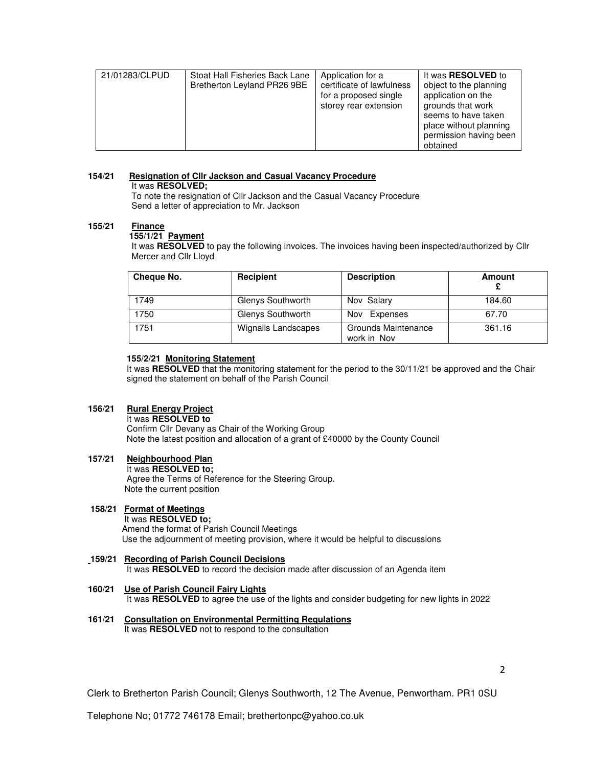| 21/01283/CLPUD<br>Stoat Hall Fisheries Back Lane<br>Bretherton Leyland PR26 9BE | Application for a<br>certificate of lawfulness<br>for a proposed single<br>storey rear extension | It was <b>RESOLVED</b> to<br>object to the planning<br>application on the<br>grounds that work<br>seems to have taken<br>place without planning<br>permission having been<br>obtained |
|---------------------------------------------------------------------------------|--------------------------------------------------------------------------------------------------|---------------------------------------------------------------------------------------------------------------------------------------------------------------------------------------|
|---------------------------------------------------------------------------------|--------------------------------------------------------------------------------------------------|---------------------------------------------------------------------------------------------------------------------------------------------------------------------------------------|

# **154/21 Resignation of Cllr Jackson and Casual Vacancy Procedure**

It was **RESOLVED;** 

To note the resignation of Cllr Jackson and the Casual Vacancy Procedure Send a letter of appreciation to Mr. Jackson

### **155/21 Finance**

## **155/1/21 Payment**

It was **RESOLVED** to pay the following invoices. The invoices having been inspected/authorized by Cllr Mercer and Cllr Lloyd

| Cheque No. | Recipient           | <b>Description</b>                 | Amount |
|------------|---------------------|------------------------------------|--------|
| 1749       | Glenys Southworth   | Nov Salary                         | 184.60 |
| 1750       | Glenys Southworth   | Expenses<br>Nov                    | 67.70  |
| 1751       | Wignalls Landscapes | Grounds Maintenance<br>work in Nov | 361.16 |

### **155/2/21 Monitoring Statement**

It was **RESOLVED** that the monitoring statement for the period to the 30/11/21 be approved and the Chair signed the statement on behalf of the Parish Council

### **156/21 Rural Energy Project**

It was **RESOLVED to** 

Confirm Cllr Devany as Chair of the Working Group Note the latest position and allocation of a grant of £40000 by the County Council

### **157/21 Neighbourhood Plan**

### It was **RESOLVED to;**

Agree the Terms of Reference for the Steering Group. Note the current position

#### **158/21 Format of Meetings**  It was **RESOLVED to;** Amend the format of Parish Council Meetings Use the adjournment of meeting provision, where it would be helpful to discussions

- **159/21 Recording of Parish Council Decisions** It was **RESOLVED** to record the decision made after discussion of an Agenda item
- **160/21 Use of Parish Council Fairy Lights**  It was **RESOLVED** to agree the use of the lights and consider budgeting for new lights in 2022
- **161/21 Consultation on Environmental Permitting Regulations**  It was **RESOLVED** not to respond to the consultation

Clerk to Bretherton Parish Council; Glenys Southworth, 12 The Avenue, Penwortham. PR1 0SU

2